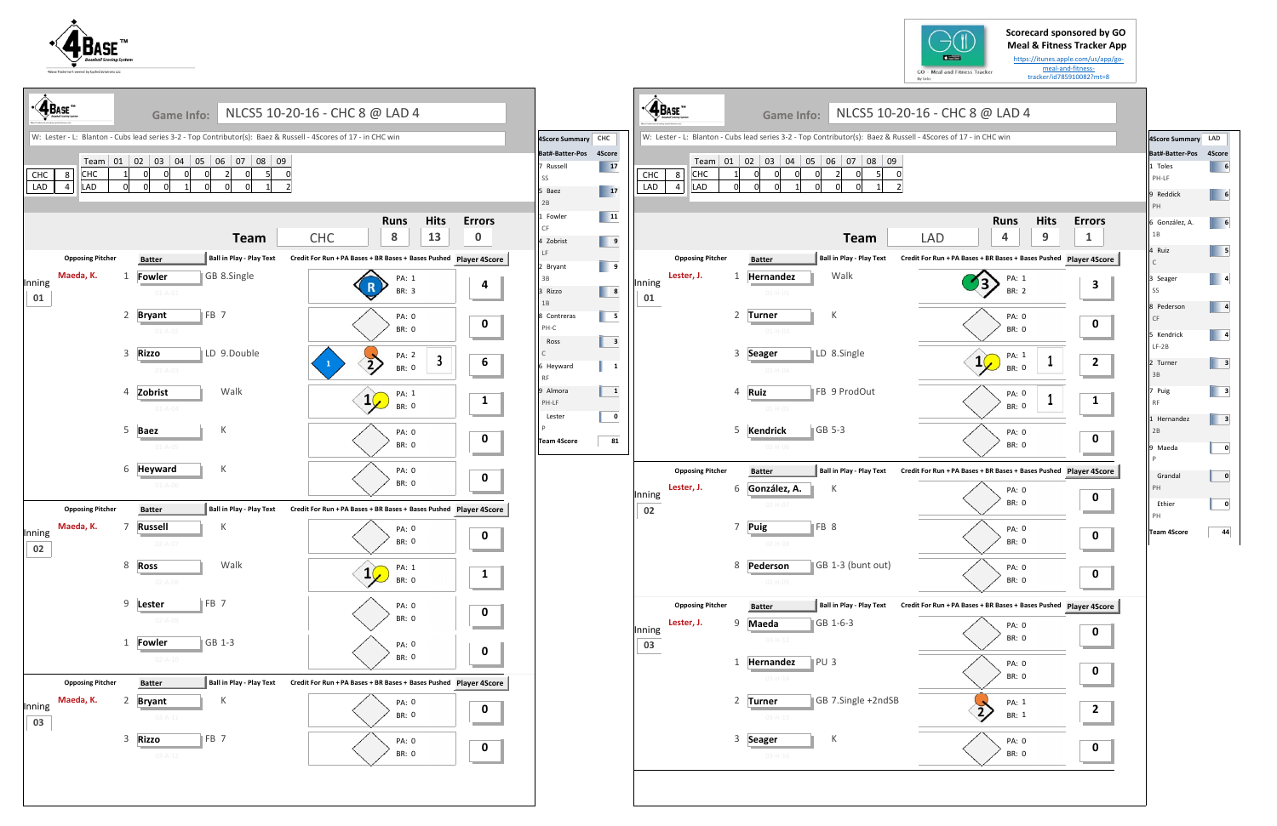



 $\mathbf l$ 

**Scorecard sponsored by GO** 



| 4Score Summary LAD |        |
|--------------------|--------|
| Bat#-Batter-Pos    | 4Score |
| 1 Toles            | 6      |
| PH-LF              |        |
| 9 Reddick          | 6      |
| PH                 |        |
| 6 González, A.     | 6      |
| 1B                 |        |
| 4 Ruiz             | 5      |
| $\mathsf{C}$       |        |
| 3 Seager           | 4      |
| SS                 |        |
| 8 Pederson         | 4      |
| CF                 |        |
| 5 Kendrick         | 4      |
| $LF-2B$            |        |
| 2 Turner           | з      |
| 3B                 |        |
| 7 Puig             | 3      |
| <b>RF</b>          |        |
| 1 Hernandez        | 3      |
| 2B                 |        |
| 9 Maeda            | 0      |
| P                  |        |
| Grandal            | 0      |
| PH                 |        |
| Ethier             | 0      |
| PH                 |        |
| <b>Team 4Score</b> | 44     |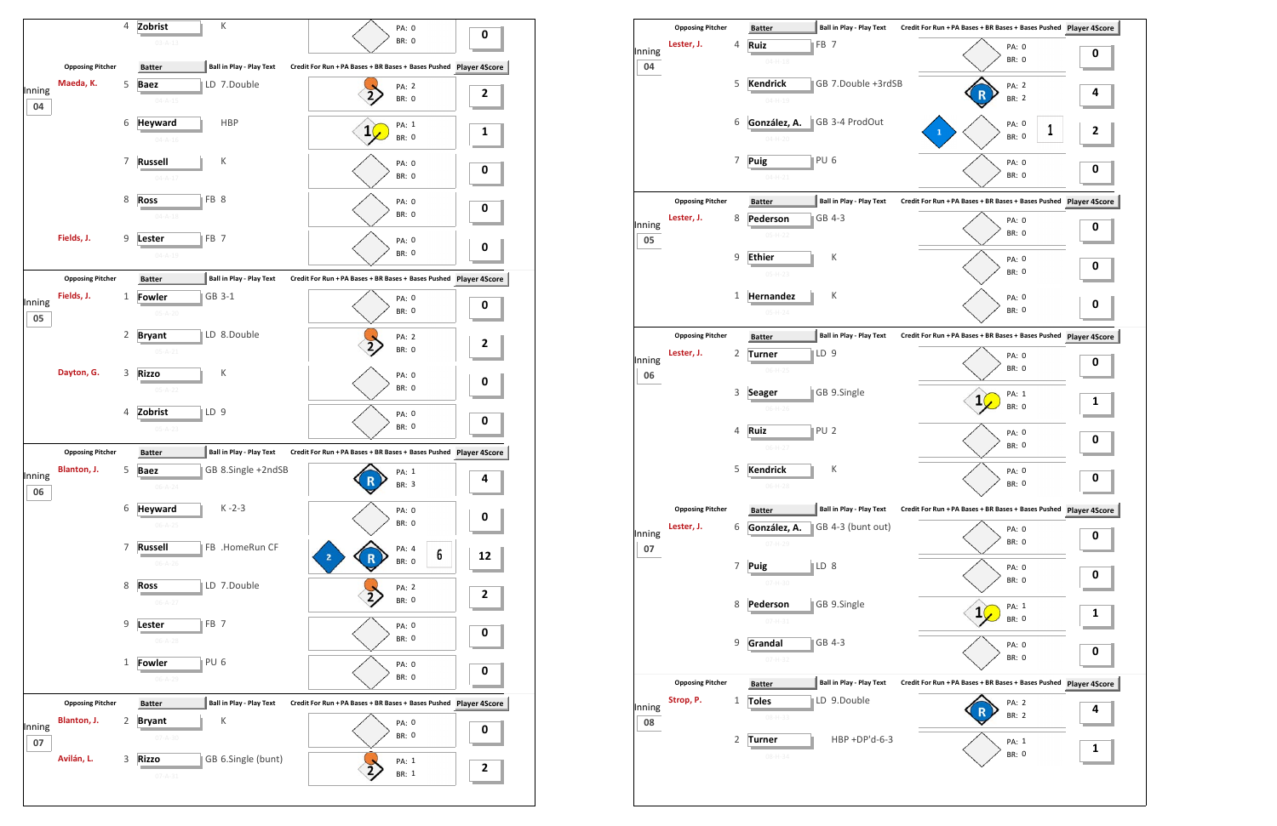

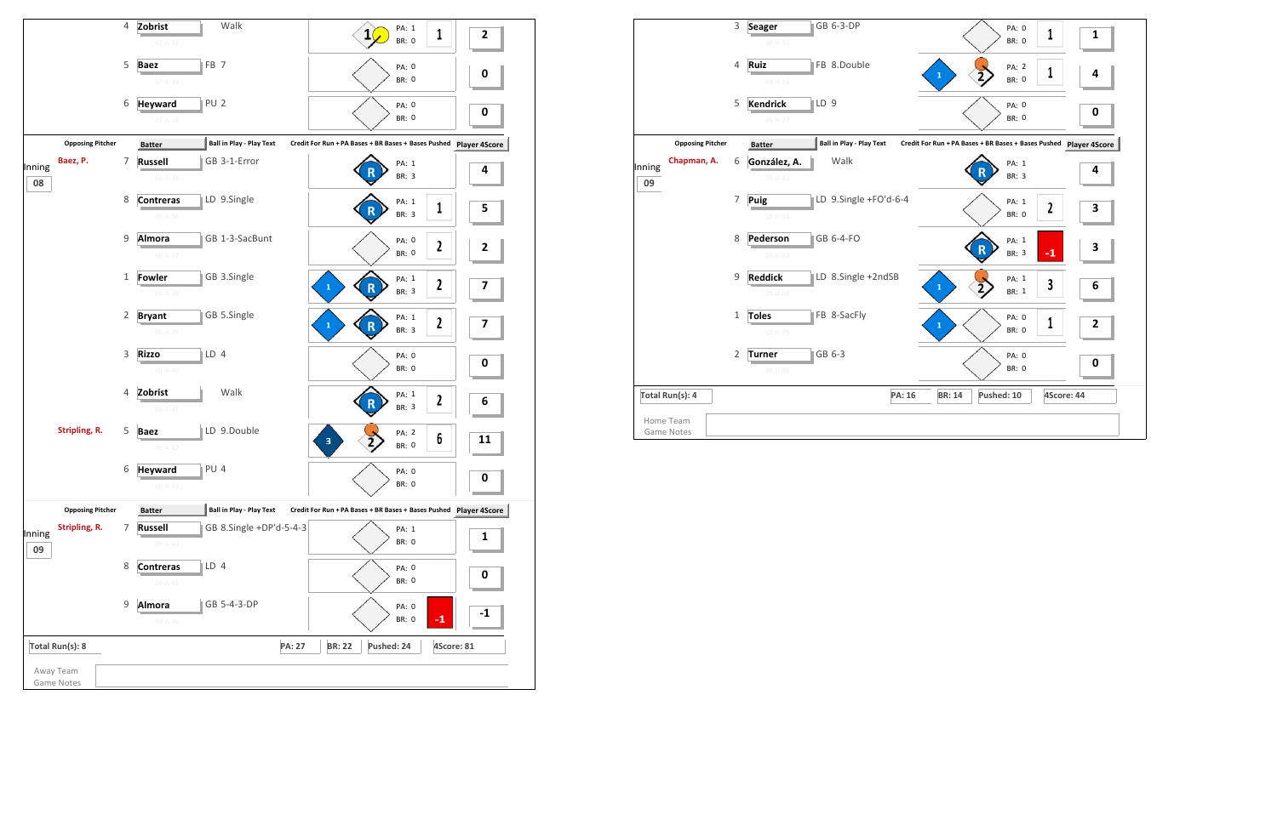

|                                | 3              | GB 6-3-DP<br><b>Seager</b><br>08-H-35            | PA: 0<br>1<br><b>BR: 0</b>                                    | $\mathbf{1}$ |
|--------------------------------|----------------|--------------------------------------------------|---------------------------------------------------------------|--------------|
|                                | 4              | FB 8.Double<br>Ruiz<br>$08 - H - 36$             | PA: 2<br>1<br>$\mathbf{1}$<br><b>BR: 0</b>                    | 4            |
|                                | 5              | <b>Kendrick</b><br>LD <sub>9</sub><br>08-H-37    | PA: 0<br><b>BR: 0</b>                                         | 0            |
| <b>Opposing Pitcher</b>        |                | <b>Ball in Play - Play Text</b><br><b>Batter</b> | Credit For Run + PA Bases + BR Bases + Bases Pushed Player 4S |              |
| Chapman, A.<br>Inning<br>09    | 6              | Walk<br>González, A.<br>09-H-01                  | PA: 1<br>R<br><b>BR: 3</b>                                    | 4            |
|                                | 7              | LD 9.Single +FO'd-6-4<br>Puig<br>09-H-02         | PA: 1<br>$\overline{\mathbf{z}}$<br><b>BR: 0</b>              | 3            |
|                                | 8              | GB 6-4-FO<br>Pederson<br>$09-H-03$               | PA: 1<br>$\mathbf R$<br>$-1$<br><b>BR: 3</b>                  | 3            |
|                                | 9              | LD 8.Single +2ndSB<br><b>Reddick</b><br>09-H-04  | PA: 1<br>3<br>$\mathbf{1}$<br><b>BR: 1</b>                    | 6            |
|                                | $\mathbf{1}$   | FB 8-SacFly<br><b>Toles</b><br>09-H-05           | PA: 0<br>1<br>$\mathbf{1}$<br><b>BR: 0</b>                    | 2            |
|                                | $\overline{2}$ | GB 6-3<br><b>Turner</b><br>09-H-06               | PA: 0<br><b>BR: 0</b>                                         | 0            |
| Total Run(s): 4                |                | PA: 16                                           | <b>BR: 14</b><br>Pushed: 10                                   | 4Score: 44   |
| Home Team<br><b>Game Notes</b> |                |                                                  |                                                               |              |

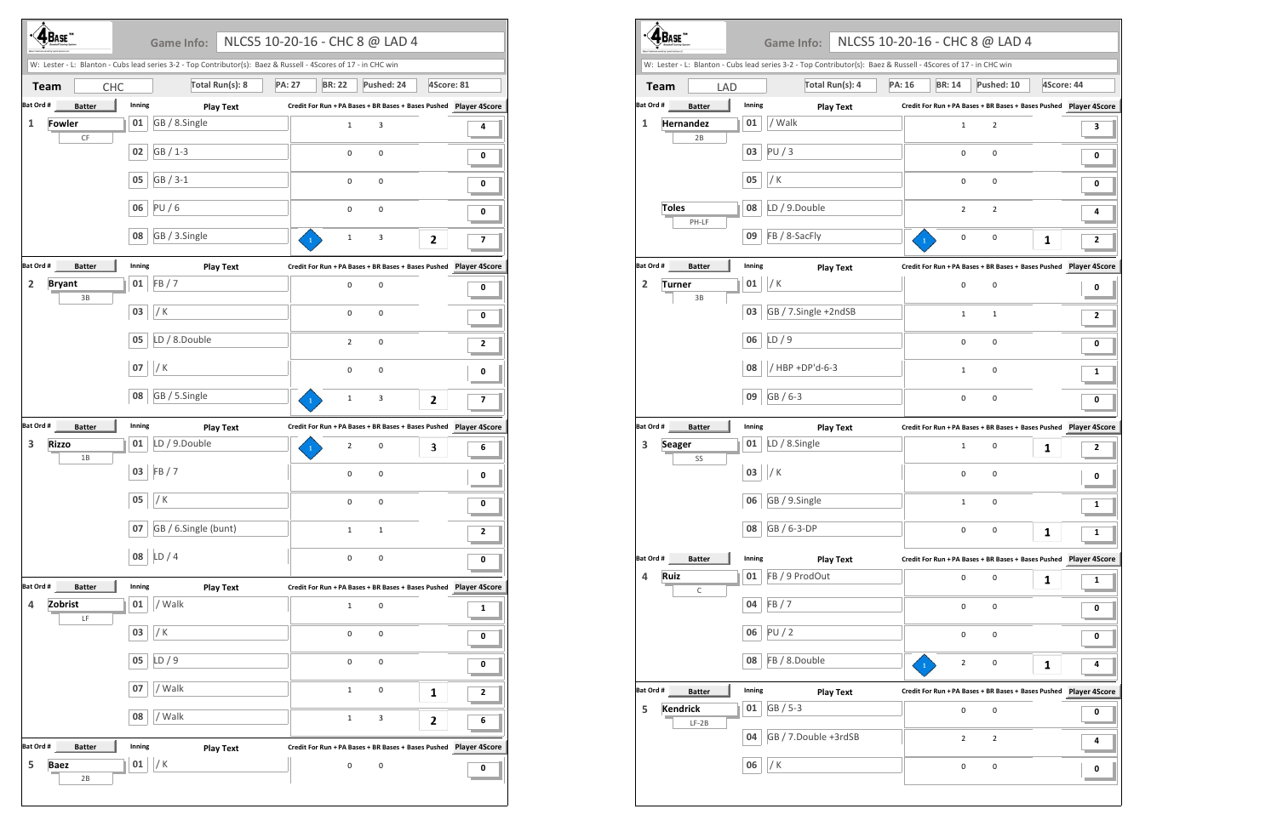| <b>BASE</b>                     |               |        | <b>Game Info:</b>                                                                                               | NLCS5 10-20-16 - CHC 8 @ LAD 4 |               |                     |                     |                                                                      |   |
|---------------------------------|---------------|--------|-----------------------------------------------------------------------------------------------------------------|--------------------------------|---------------|---------------------|---------------------|----------------------------------------------------------------------|---|
|                                 |               |        | W: Lester - L: Blanton - Cubs lead series 3-2 - Top Contributor(s): Baez & Russell - 4Scores of 17 - in CHC win |                                |               |                     |                     |                                                                      |   |
| <b>Team</b>                     | <b>CHC</b>    |        | Total Run(s): 8                                                                                                 |                                | <b>PA: 27</b> | <b>BR: 22</b>       | Pushed: 24          | 4Score: 81                                                           |   |
| Bat Ord #                       | <b>Batter</b> | Inning |                                                                                                                 | <b>Play Text</b>               |               |                     |                     | Credit For Run + PA Bases + BR Bases + Bases Pushed    Player 4Score |   |
| <b>Fowler</b><br>1              | $\mathsf{CF}$ | 01     | GB / 8.Single                                                                                                   |                                |               | $\mathbf{1}$        | 3                   |                                                                      | 4 |
|                                 |               | 02     | GB / 1-3                                                                                                        |                                |               | $\mathbf 0$         | $\pmb{0}$           |                                                                      | 0 |
|                                 |               | 05     | GB / 3-1                                                                                                        |                                |               | $\mathbf 0$         | 0                   |                                                                      | 0 |
|                                 |               | 06     | PU/6                                                                                                            |                                |               | $\mathbf 0$         | $\pmb{0}$           |                                                                      | 0 |
|                                 |               | 08     | GB / 3.Single                                                                                                   |                                |               | $1\,$               | 3                   | 2                                                                    | 7 |
| Bat Ord #                       | <b>Batter</b> | Inning |                                                                                                                 | <b>Play Text</b>               |               |                     |                     |                                                                      |   |
| <b>Bryant</b><br>$\overline{2}$ | $3B$          | 01     | FB/7                                                                                                            |                                |               | 0                   | 0                   |                                                                      | 0 |
|                                 |               | 03     | / K                                                                                                             |                                |               | $\mathbf 0$         | 0                   |                                                                      | 0 |
|                                 |               | 05     | LD / 8.Double                                                                                                   |                                |               | $\overline{2}$      | 0                   |                                                                      | 2 |
|                                 |               | 07     | /K                                                                                                              |                                |               | 0                   | 0                   |                                                                      | 0 |
|                                 |               | 08     | GB / 5.Single                                                                                                   |                                |               | $\mathbf 1$         | 3                   | 2                                                                    | 7 |
| Bat Ord #                       | <b>Batter</b> | Inning |                                                                                                                 | <b>Play Text</b>               |               |                     |                     | Credit For Run + PA Bases + BR Bases + Bases Pushed Player 4Score    |   |
| 3<br><b>Rizzo</b>               | 1B            | 01     | LD / 9.Double                                                                                                   |                                |               | 2                   | $\pmb{0}$           | 3                                                                    | 6 |
|                                 |               | 03     | FB/7                                                                                                            |                                |               | 0                   | 0                   |                                                                      | 0 |
|                                 |               | 05     | / K                                                                                                             |                                |               | $\pmb{0}$           | $\pmb{0}$           |                                                                      | 0 |
|                                 |               | 07     | GB / 6.Single (bunt)                                                                                            |                                |               | $\mathbf 1$         | $\mathbf 1$         |                                                                      | 2 |
|                                 |               | 08     | LD/4                                                                                                            |                                |               | $\pmb{0}$           | $\pmb{0}$           |                                                                      | 0 |
| Bat Ord #                       | <b>Batter</b> | Inning |                                                                                                                 | <b>Play Text</b>               |               |                     |                     |                                                                      |   |
| Zobrist<br>4                    | LF            | 01     | / Walk                                                                                                          |                                |               | $\mathbf{1}$        | $\mathsf{O}\xspace$ |                                                                      | 1 |
|                                 |               | 03     | / K                                                                                                             |                                |               | $\pmb{0}$           | $\pmb{0}$           |                                                                      | 0 |
|                                 |               | 05     | LD/9                                                                                                            |                                |               | 0                   | $\mathsf{O}\xspace$ |                                                                      | 0 |
|                                 |               | 07     | / Walk                                                                                                          |                                |               | $\mathbf 1$         | $\pmb{0}$           | 1                                                                    | 2 |
|                                 |               | 08     | / Walk                                                                                                          |                                |               | $\mathbf 1$         | $\mathbf{3}$        | 2                                                                    | 6 |
| Bat Ord #                       | <b>Batter</b> | Inning |                                                                                                                 | <b>Play Text</b>               |               |                     |                     | Credit For Run + PA Bases + BR Bases + Bases Pushed    Player 4Score |   |
| 5<br><b>Baez</b>                |               | 01     | / K                                                                                                             |                                |               | $\mathsf{O}\xspace$ | $\mathsf 0$         |                                                                      | 0 |
|                                 | 2B            |        |                                                                                                                 |                                |               |                     |                     |                                                                      |   |

|                                 |                  |            |        | W: Lester - L: Blanton - Cubs lead series 3-2 - Top Contributor(s): Baez & Russell - 4Scores of 17 - in CHC win |               |              | NLCS5 10-20-16 - CHC 8 @ LAD 4 |                                                                      |            |                      |
|---------------------------------|------------------|------------|--------|-----------------------------------------------------------------------------------------------------------------|---------------|--------------|--------------------------------|----------------------------------------------------------------------|------------|----------------------|
| <b>Team</b>                     |                  | <b>LAD</b> |        | Total Run(s): 4                                                                                                 | <b>PA: 16</b> |              | <b>BR: 14</b>                  | Pushed: 10                                                           | 4Score: 44 |                      |
| Bat Ord #                       | <b>Batter</b>    |            | Inning | <b>Play Text</b>                                                                                                |               |              |                                |                                                                      |            |                      |
| 1                               | <b>Hernandez</b> |            | 01     | / Walk                                                                                                          |               |              | $\mathbf{1}$                   | 2                                                                    |            | 3                    |
|                                 | 2B               |            | 03     | PU/3                                                                                                            |               |              | 0                              | $\mathbf 0$                                                          |            | 0                    |
|                                 |                  |            | 05     | / K                                                                                                             |               |              | 0                              | 0                                                                    |            | 0                    |
| <b>Toles</b>                    | PH-LF            |            | 08     | LD / 9.Double                                                                                                   |               |              | $\overline{2}$                 | 2                                                                    |            | 4                    |
|                                 |                  |            | 09     | FB / 8-SacFly                                                                                                   |               | $\mathbf{1}$ | 0                              | 0                                                                    | 1          | 2                    |
| Bat Ord #                       | <b>Batter</b>    |            | Inning | <b>Play Text</b>                                                                                                |               |              |                                | Credit For Run + PA Bases + BR Bases + Bases Pushed                  |            | <b>Player 4Score</b> |
| $\overline{2}$<br><b>Turner</b> | 3B               |            | 01     | / K                                                                                                             |               |              | 0                              | 0                                                                    |            | 0                    |
|                                 |                  |            | 03     | GB / 7.Single +2ndSB                                                                                            |               |              | $\mathbf{1}$                   | 1                                                                    |            | 2                    |
|                                 |                  |            | 06     | LD/9                                                                                                            |               |              | 0                              | 0                                                                    |            | 0                    |
|                                 |                  |            | 08     | / HBP +DP'd-6-3                                                                                                 |               |              | $\mathbf{1}$                   | 0                                                                    |            | 1                    |
|                                 |                  |            | 09     | GB / 6-3                                                                                                        |               |              | 0                              | 0                                                                    |            | 0                    |
| Bat Ord #                       | <b>Batter</b>    |            | Inning | <b>Play Text</b>                                                                                                |               |              |                                |                                                                      |            |                      |
| 3<br><b>Seager</b>              | SS               |            | 01     | LD / 8.Single                                                                                                   |               |              | $\mathbf{1}$                   | 0                                                                    | 1          | 2                    |
|                                 |                  |            | 03     | / K                                                                                                             |               |              | 0                              | 0                                                                    |            | 0                    |
|                                 |                  |            | 06     | GB / 9.Single                                                                                                   |               |              | $\mathbf{1}$                   | 0                                                                    |            | 1                    |
|                                 |                  |            | 08     | GB / 6-3-DP                                                                                                     |               |              | 0                              | 0                                                                    | 1          | 1                    |
| Bat Ord #                       | <b>Batter</b>    |            | Inning | <b>Play Text</b>                                                                                                |               |              |                                |                                                                      |            |                      |
| Ruiz<br>$\overline{a}$          | $\mathsf C$      |            | 01     | FB / 9 ProdOut                                                                                                  |               |              | 0                              | 0                                                                    | 1          | 1                    |
|                                 |                  |            | 04     | FB/7                                                                                                            |               |              | 0                              | 0                                                                    |            | 0                    |
|                                 |                  |            | 06     | PU/2                                                                                                            |               |              | 0                              | 0                                                                    |            | 0                    |
|                                 |                  |            | 08     | FB / 8.Double                                                                                                   |               |              | 2                              | 0                                                                    | 1          | 4                    |
| Bat Ord #                       | <b>Batter</b>    |            | Inning | <b>Play Text</b>                                                                                                |               |              |                                | Credit For Run + PA Bases + BR Bases + Bases Pushed    Player 4Score |            |                      |
| <b>Kendrick</b><br>5            | $LF-2B$          |            | 01     | GB / 5-3                                                                                                        |               |              | 0                              | 0                                                                    |            | 0                    |
|                                 |                  |            | 04     | GB / 7.Double +3rdSB                                                                                            |               |              | $\overline{2}$                 | $\overline{2}$                                                       |            | 4                    |
|                                 |                  |            | 06     | / K                                                                                                             |               |              | 0                              | $\mathsf 0$                                                          |            | 0                    |